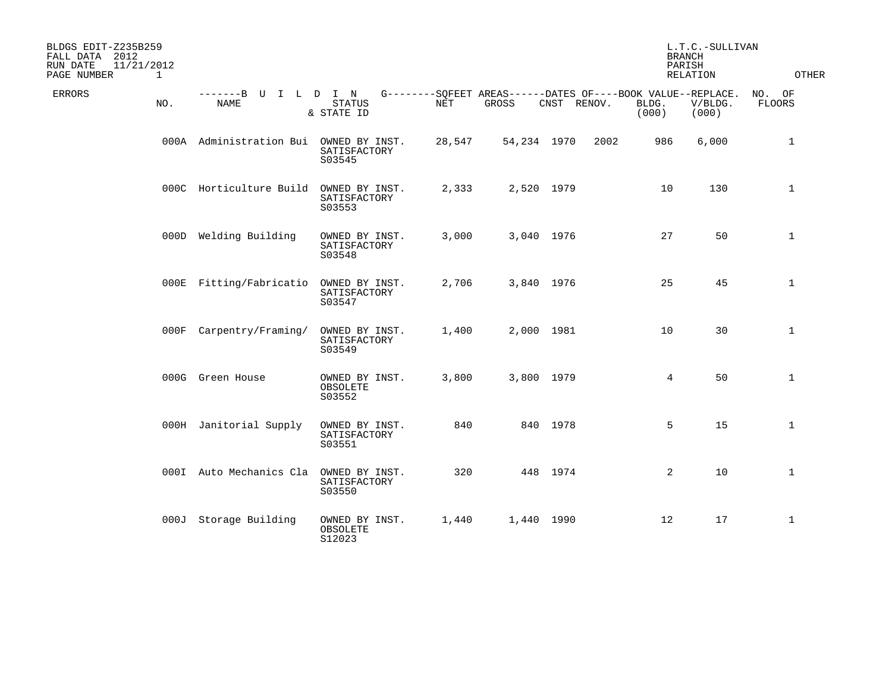| BLDGS EDIT-Z235B259<br>FALL DATA 2012<br>RUN DATE<br>11/21/2012<br>PAGE NUMBER | 1   |                           |                                          |        |                                                                      |             |      |                | L.T.C.-SULLIVAN<br><b>BRANCH</b><br>PARISH<br>RELATION | OTHER                   |
|--------------------------------------------------------------------------------|-----|---------------------------|------------------------------------------|--------|----------------------------------------------------------------------|-------------|------|----------------|--------------------------------------------------------|-------------------------|
| ERRORS                                                                         | NO. | $-----B$ U<br><b>NAME</b> | ILDIN<br><b>STATUS</b><br>& STATE ID     | NET    | G--------SOFEET AREAS------DATES OF----BOOK VALUE--REPLACE.<br>GROSS | CNST RENOV. |      | BLDG.<br>(000) | V/BLDG.<br>(000)                                       | NO. OF<br><b>FLOORS</b> |
|                                                                                |     | 000A Administration Bui   | OWNED BY INST.<br>SATISFACTORY<br>S03545 | 28,547 | 54,234 1970                                                          |             | 2002 | 986            | 6,000                                                  | $\mathbf{1}$            |
|                                                                                |     | 000C Horticulture Build   | OWNED BY INST.<br>SATISFACTORY<br>S03553 | 2,333  | 2,520 1979                                                           |             |      | 10             | 130                                                    | $\mathbf{1}$            |
|                                                                                |     | 000D Welding Building     | OWNED BY INST.<br>SATISFACTORY<br>S03548 | 3,000  | 3,040 1976                                                           |             |      | 27             | 50                                                     | $\mathbf{1}$            |
|                                                                                |     | 000E Fitting/Fabricatio   | OWNED BY INST.<br>SATISFACTORY<br>S03547 | 2,706  | 3,840 1976                                                           |             |      | 25             | 45                                                     | $\mathbf{1}$            |
|                                                                                |     | 000F Carpentry/Framing/   | OWNED BY INST.<br>SATISFACTORY<br>S03549 | 1,400  | 2,000 1981                                                           |             |      | 10             | 30                                                     | $\mathbf{1}$            |
|                                                                                |     | 000G Green House          | OWNED BY INST.<br>OBSOLETE<br>S03552     | 3,800  | 3,800 1979                                                           |             |      | 4              | 50                                                     | $\mathbf{1}$            |
|                                                                                |     | 000H Janitorial Supply    | OWNED BY INST.<br>SATISFACTORY<br>S03551 | 840    |                                                                      | 840 1978    |      | 5              | 15                                                     | $\mathbf{1}$            |
|                                                                                |     | 000I Auto Mechanics Cla   | OWNED BY INST.<br>SATISFACTORY<br>S03550 | 320    |                                                                      | 448 1974    |      | $\overline{a}$ | 10                                                     | $\mathbf{1}$            |
|                                                                                |     | 000J Storage Building     | OWNED BY INST.<br>OBSOLETE<br>S12023     | 1,440  | 1,440 1990                                                           |             |      | 12             | 17                                                     | $\mathbf{1}$            |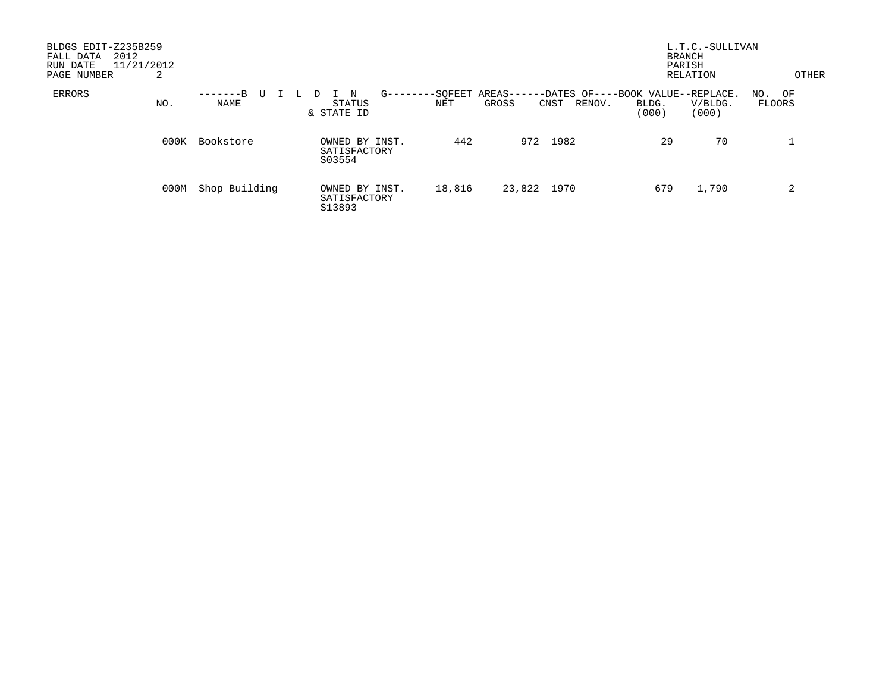| BLDGS EDIT-Z235B259<br>2012<br>FALL DATA<br>11/21/2012<br>RUN DATE<br>PAGE NUMBER | 2    |                              |     |                                          |             |                |                     |                                                     |                | L.T.C.-SULLIVAN<br>BRANCH<br>PARISH<br>RELATION | <b>OTHER</b>     |
|-----------------------------------------------------------------------------------|------|------------------------------|-----|------------------------------------------|-------------|----------------|---------------------|-----------------------------------------------------|----------------|-------------------------------------------------|------------------|
| ERRORS                                                                            | NO.  | -------B<br>U<br><b>NAME</b> | -14 | I N<br>D<br>STATUS<br>& STATE ID         | $G$ ------- | -SOFEET<br>NET | AREAS-----<br>GROSS | -DATES OF----BOOK VALUE--REPLACE.<br>RENOV.<br>CNST | BLDG.<br>(000) | V/BLDG.<br>(000)                                | NO. OF<br>FLOORS |
|                                                                                   | 000K | Bookstore                    |     | OWNED BY INST.<br>SATISFACTORY<br>S03554 |             | 442            | 972                 | 1982                                                | 29             | 70                                              |                  |
|                                                                                   | 000M | Shop Building                |     | OWNED BY INST.<br>SATISFACTORY<br>S13893 |             | 18,816         | 23,822 1970         |                                                     | 679            | 1,790                                           | 2                |